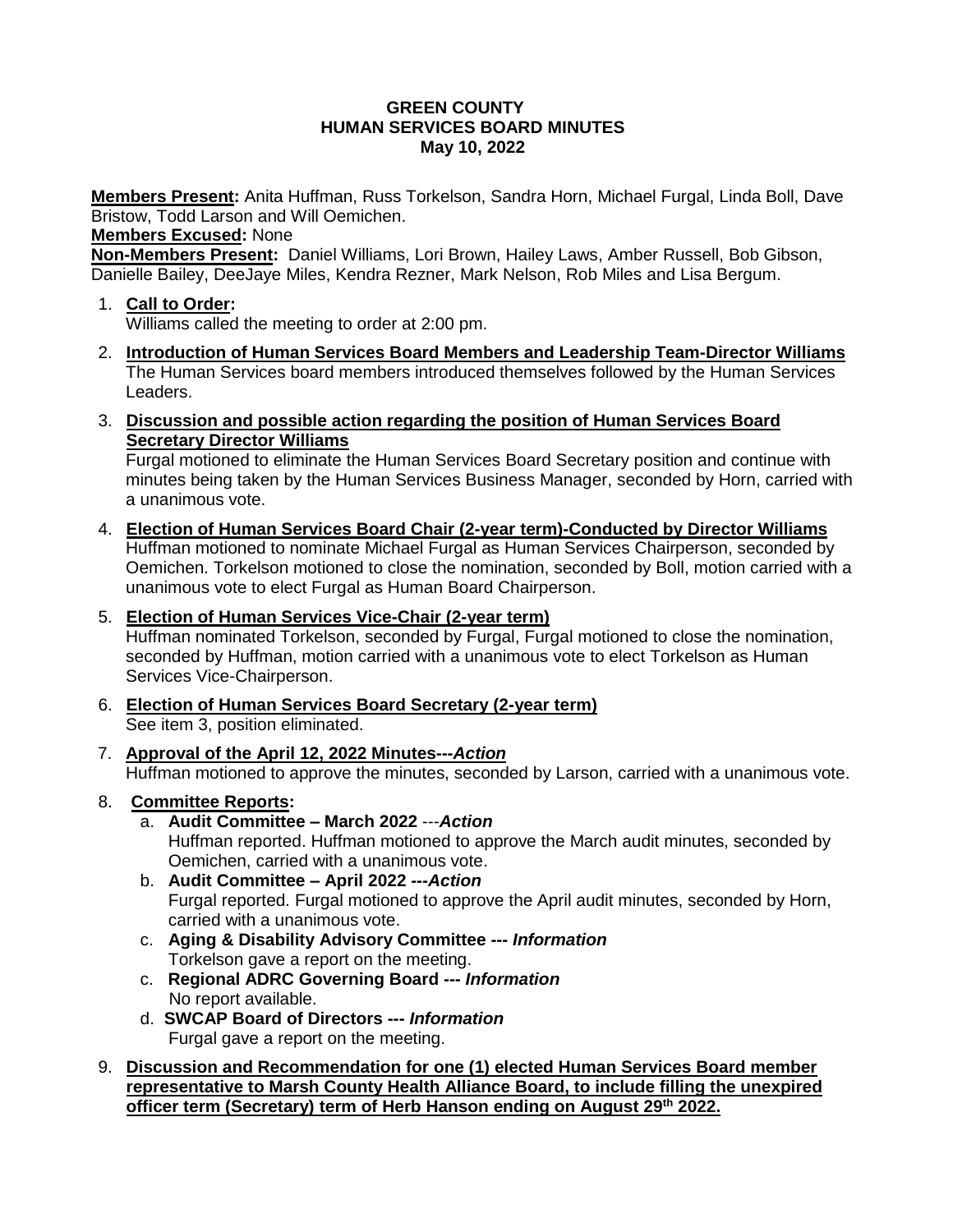#### **GREEN COUNTY HUMAN SERVICES BOARD MINUTES May 10, 2022**

**Members Present:** Anita Huffman, Russ Torkelson, Sandra Horn, Michael Furgal, Linda Boll, Dave Bristow, Todd Larson and Will Oemichen.

#### **Members Excused:** None

**Non-Members Present:** Daniel Williams, Lori Brown, Hailey Laws, Amber Russell, Bob Gibson, Danielle Bailey, DeeJaye Miles, Kendra Rezner, Mark Nelson, Rob Miles and Lisa Bergum.

- 1. **Call to Order:** Williams called the meeting to order at 2:00 pm.
- 2. **Introduction of Human Services Board Members and Leadership Team-Director Williams** The Human Services board members introduced themselves followed by the Human Services Leaders.
- 3. **Discussion and possible action regarding the position of Human Services Board Secretary Director Williams**

Furgal motioned to eliminate the Human Services Board Secretary position and continue with minutes being taken by the Human Services Business Manager, seconded by Horn, carried with a unanimous vote.

- 4. **Election of Human Services Board Chair (2-year term)-Conducted by Director Williams** Huffman motioned to nominate Michael Furgal as Human Services Chairperson, seconded by Oemichen. Torkelson motioned to close the nomination, seconded by Boll, motion carried with a unanimous vote to elect Furgal as Human Board Chairperson.
- 5. **Election of Human Services Vice-Chair (2-year term)** Huffman nominated Torkelson, seconded by Furgal, Furgal motioned to close the nomination, seconded by Huffman, motion carried with a unanimous vote to elect Torkelson as Human Services Vice-Chairperson.
- 6. **Election of Human Services Board Secretary (2-year term)** See item 3, position eliminated.
- 7. **Approval of the April 12, 2022 Minutes---***Action* Huffman motioned to approve the minutes, seconded by Larson, carried with a unanimous vote.
- 8. **Committee Reports:**
	- a. **Audit Committee – March 2022** ---*Action* Huffman reported. Huffman motioned to approve the March audit minutes, seconded by Oemichen, carried with a unanimous vote.
	- b. **Audit Committee – April 2022** *---Action* Furgal reported. Furgal motioned to approve the April audit minutes, seconded by Horn, carried with a unanimous vote.
	- c. **Aging & Disability Advisory Committee ---** *Information* Torkelson gave a report on the meeting.
	- c. **Regional ADRC Governing Board ---** *Information* No report available.
	- d. **SWCAP Board of Directors ---** *Information* Furgal gave a report on the meeting.
- 9. **Discussion and Recommendation for one (1) elected Human Services Board member representative to Marsh County Health Alliance Board, to include filling the unexpired officer term (Secretary) term of Herb Hanson ending on August 29th 2022.**